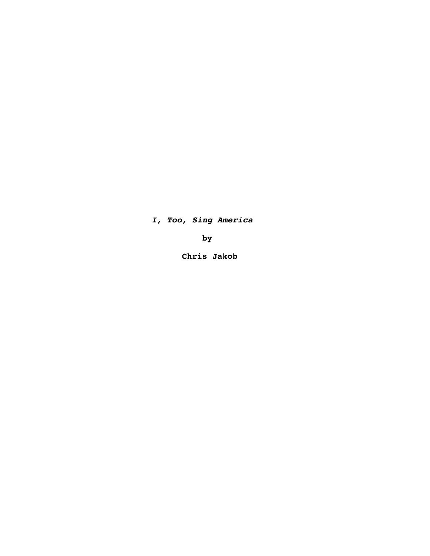*I, Too, Sing America*

 **by**

 **Chris Jakob**

 $\mathcal{L}^{\text{max}}_{\text{max}}$  and  $\mathcal{L}^{\text{max}}_{\text{max}}$ 

 $\label{eq:2.1} \frac{1}{\sqrt{2}}\int_{\mathbb{R}^3}\frac{1}{\sqrt{2}}\left(\frac{1}{\sqrt{2}}\right)^2\frac{1}{\sqrt{2}}\left(\frac{1}{\sqrt{2}}\right)^2\frac{1}{\sqrt{2}}\left(\frac{1}{\sqrt{2}}\right)^2\frac{1}{\sqrt{2}}\left(\frac{1}{\sqrt{2}}\right)^2\frac{1}{\sqrt{2}}\left(\frac{1}{\sqrt{2}}\right)^2\frac{1}{\sqrt{2}}\frac{1}{\sqrt{2}}\frac{1}{\sqrt{2}}\frac{1}{\sqrt{2}}\frac{1}{\sqrt{2}}\frac{1}{\sqrt{2}}$ 

 $\label{eq:2} \frac{1}{2} \int_{\mathbb{R}^3} \frac{1}{\sqrt{2}} \, \frac{1}{\sqrt{2}} \, \frac{1}{\sqrt{2}} \, \frac{1}{\sqrt{2}} \, \frac{1}{\sqrt{2}} \, \frac{1}{\sqrt{2}} \, \frac{1}{\sqrt{2}} \, \frac{1}{\sqrt{2}} \, \frac{1}{\sqrt{2}} \, \frac{1}{\sqrt{2}} \, \frac{1}{\sqrt{2}} \, \frac{1}{\sqrt{2}} \, \frac{1}{\sqrt{2}} \, \frac{1}{\sqrt{2}} \, \frac{1}{\sqrt{2}} \, \frac{1}{\sqrt{2}} \, \frac$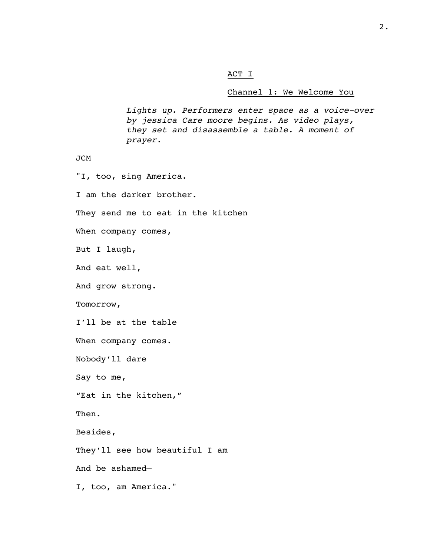## ACT I

# Channel 1: We Welcome You

*Lights up. Performers enter space as a voice-over by jessica Care moore begins. As video plays, they set and disassemble a table. A moment of prayer.*

```
JCM
```
"I, too, sing America.

I am the darker brother.

They send me to eat in the kitchen

When company comes,

But I laugh,

And eat well,

And grow strong.

Tomorrow,

I'll be at the table

When company comes.

Nobody'll dare

Say to me,

"Eat in the kitchen,"

Then.

Besides,

They'll see how beautiful I am

And be ashamed—

I, too, am America."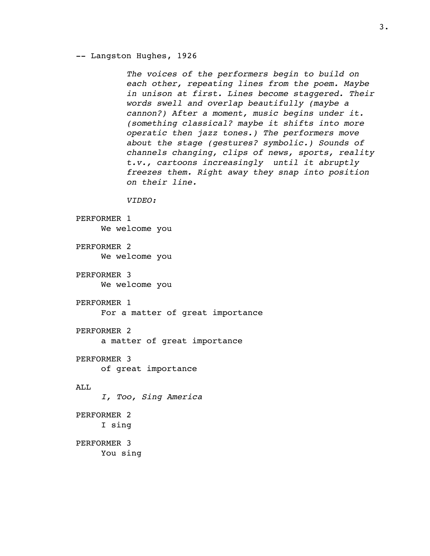-- Langston Hughes, 1926

*The voices of the performers begin to build on each other, repeating lines from the poem. Maybe in unison at first. Lines become staggered. Their words swell and overlap beautifully (maybe a cannon?) After a moment, music begins under it. (something classical? maybe it shifts into more operatic then jazz tones.) The performers move about the stage (gestures? symbolic.) Sounds of channels changing, clips of news, sports, reality t.v., cartoons increasingly until it abruptly freezes them. Right away they snap into position on their line.*

*VIDEO:*

```
PERFORMER 1
     We welcome you
```
PERFORMER 2 We welcome you

PERFORMER 3 We welcome you

PERFORMER 1

For a matter of great importance

PERFORMER 2

a matter of great importance

PERFORMER 3 of great importance

# ALL

*I, Too, Sing America*

PERFORMER 2 I sing

PERFORMER 3 You sing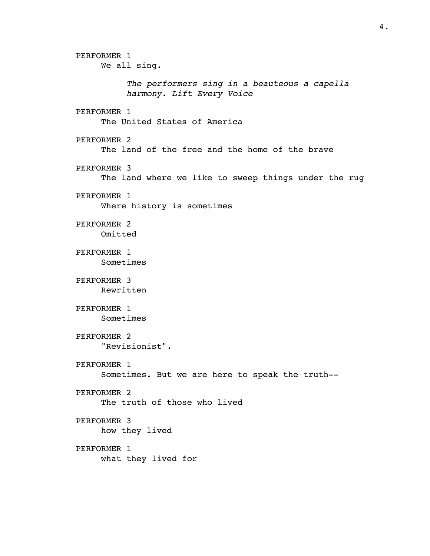PERFORMER 1 We all sing. *The performers sing in a beauteous a capella harmony. Lift Every Voice* PERFORMER 1 The United States of America PERFORMER 2 The land of the free and the home of the brave PERFORMER 3 The land where we like to sweep things under the rug PERFORMER 1 Where history is sometimes PERFORMER 2 Omitted PERFORMER 1 Sometimes PERFORMER 3 Rewritten PERFORMER 1 Sometimes PERFORMER 2 "Revisionist". PERFORMER 1 Sometimes. But we are here to speak the truth-- PERFORMER 2 The truth of those who lived PERFORMER 3 how they lived PERFORMER 1 what they lived for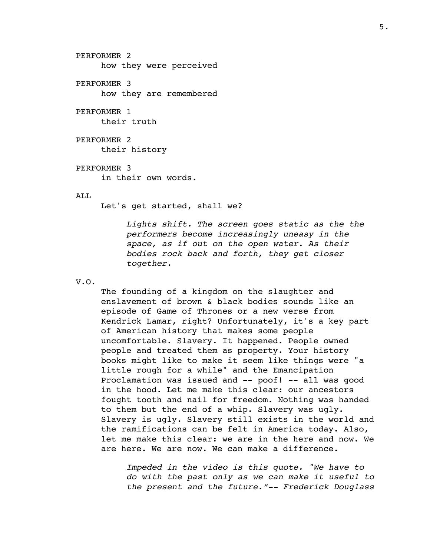PERFORMER 2 how they were perceived PERFORMER 3

how they are remembered

# PERFORMER 1

their truth

PERFORMER 2 their history

### PERFORMER 3

in their own words.

### ALL

Let's get started, shall we?

*Lights shift. The screen goes static as the the performers become increasingly uneasy in the space, as if out on the open water. As their bodies rock back and forth, they get closer together.*

## V.O.

The founding of a kingdom on the slaughter and enslavement of brown & black bodies sounds like an episode of Game of Thrones or a new verse from Kendrick Lamar, right? Unfortunately, it's a key part of American history that makes some people uncomfortable. Slavery. It happened. People owned people and treated them as property. Your history books might like to make it seem like things were "a little rough for a while" and the Emancipation Proclamation was issued and -- poof! -- all was good in the hood. Let me make this clear: our ancestors fought tooth and nail for freedom. Nothing was handed to them but the end of a whip. Slavery was ugly. Slavery is ugly. Slavery still exists in the world and the ramifications can be felt in America today. Also, let me make this clear: we are in the here and now. We are here. We are now. We can make a difference.

*Impeded in the video is this quote. "We have to do with the past only as we can make it useful to the present and the future."-- Frederick Douglass*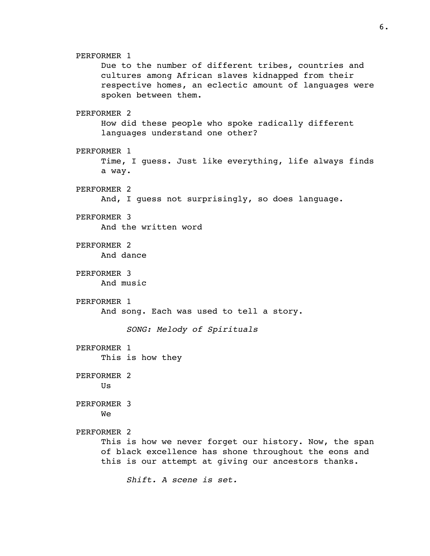PERFORMER 1 Due to the number of different tribes, countries and cultures among African slaves kidnapped from their respective homes, an eclectic amount of languages were spoken between them. PERFORMER 2 How did these people who spoke radically different languages understand one other? PERFORMER 1 Time, I guess. Just like everything, life always finds a way. PERFORMER 2 And, I guess not surprisingly, so does language. PERFORMER 3 And the written word PERFORMER 2 And dance PERFORMER 3 And music PERFORMER 1 And song. Each was used to tell a story. *SONG: Melody of Spirituals* PERFORMER 1 This is how they PERFORMER 2 Us PERFORMER 3 We PERFORMER 2 This is how we never forget our history. Now, the span of black excellence has shone throughout the eons and this is our attempt at giving our ancestors thanks. *Shift. A scene is set.*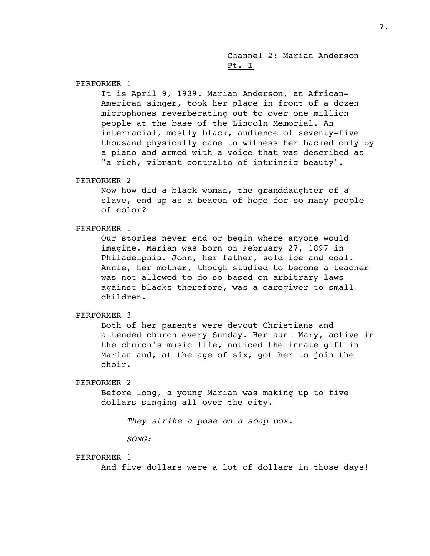# Channel 2: Marian Anderson Pt. I

PERFORMER 1

It is April 9, 1939. Marian Anderson, an African-American singer, took her place in front of a dozen microphones reverberating out to over one million people at the base of the Lincoln Memorial. An interracial, mostly black, audience of seventy-five thousand physically came to witness her backed only by a piano and armed with a voice that was described as "a rich, vibrant contralto of intrinsic beauty".

### PERFORMER 2

Now how did a black woman, the granddaughter of a slave, end up as a beacon of hope for so many people of color?

### PERFORMER 1

Our stories never end or begin where anyone would imagine. Marian was born on February 27, 1897 in Philadelphia. John, her father, sold ice and coal. Annie, her mother, though studied to become a teacher was not allowed to do so based on arbitrary laws against blacks therefore, was a caregiver to small children.

### PERFORMER 3

Both of her parents were devout Christians and attended church every Sunday. Her aunt Mary, active in the church's music life, noticed the innate gift in Marian and, at the age of six, got her to join the choir.

# PERFORMER 2

Before long, a young Marian was making up to five dollars singing all over the city.

*They strike a pose on a soap box.*

*SONG:*

### PERFORMER 1

And five dollars were a lot of dollars in those days!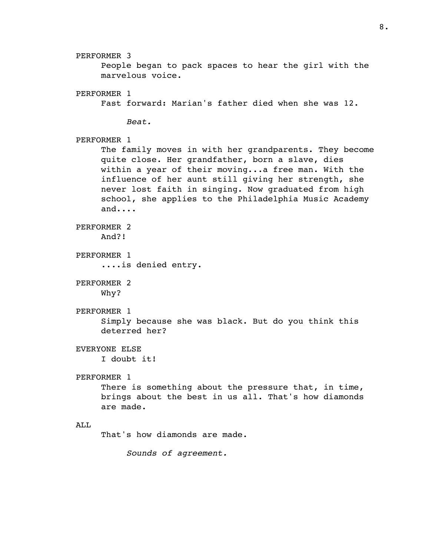People began to pack spaces to hear the girl with the

marvelous voice. PERFORMER 1 Fast forward: Marian's father died when she was 12. *Beat.* PERFORMER 1 The family moves in with her grandparents. They become quite close. Her grandfather, born a slave, dies within a year of their moving...a free man. With the influence of her aunt still giving her strength, she never lost faith in singing. Now graduated from high school, she applies to the Philadelphia Music Academy and.... PERFORMER 2 And?! PERFORMER 1 ....is denied entry. PERFORMER 2 Why? PERFORMER 1 Simply because she was black. But do you think this deterred her? EVERYONE ELSE I doubt it! PERFORMER 1 There is something about the pressure that, in time, brings about the best in us all. That's how diamonds are made. ALL That's how diamonds are made.

PERFORMER 3

*Sounds of agreement.*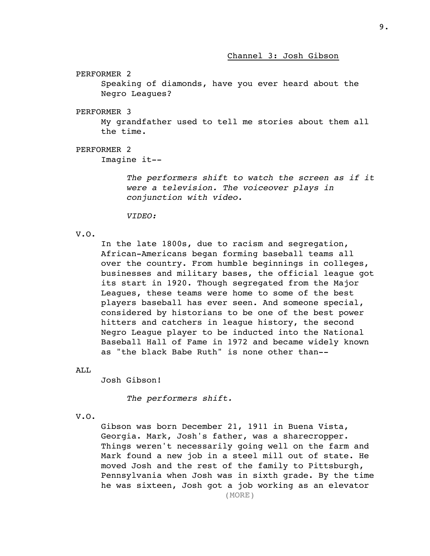Channel 3: Josh Gibson

PERFORMER 2

Speaking of diamonds, have you ever heard about the Negro Leagues?

PERFORMER 3

My grandfather used to tell me stories about them all the time.

PERFORMER 2

Imagine it--

*The performers shift to watch the screen as if it were a television. The voiceover plays in conjunction with video.*

*VIDEO:*

V.O.

In the late 1800s, due to racism and segregation, African-Americans began forming baseball teams all over the country. From humble beginnings in colleges, businesses and military bases, the official league got its start in 1920. Though segregated from the Major Leagues, these teams were home to some of the best players baseball has ever seen. And someone special, considered by historians to be one of the best power hitters and catchers in league history, the second Negro League player to be inducted into the National Baseball Hall of Fame in 1972 and became widely known as "the black Babe Ruth" is none other than--

ALL

Josh Gibson!

*The performers shift.*

V.O.

Gibson was born December 21, 1911 in Buena Vista, Georgia. Mark, Josh's father, was a sharecropper. Things weren't necessarily going well on the farm and Mark found a new job in a steel mill out of state. He moved Josh and the rest of the family to Pittsburgh, Pennsylvania when Josh was in sixth grade. By the time he was sixteen, Josh got a job working as an elevator (MORE)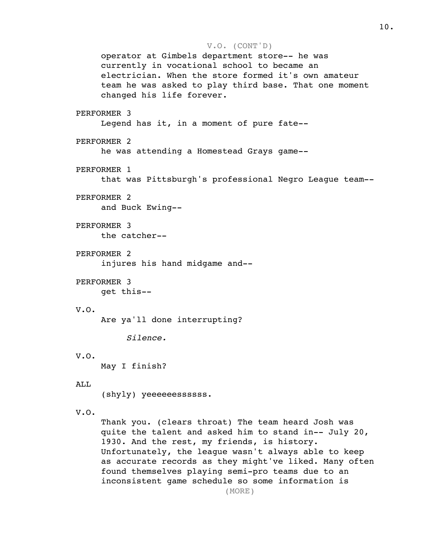```
V.O. (CONT'D)
     operator at Gimbels department store-- he was 
     currently in vocational school to became an 
     electrician. When the store formed it's own amateur 
     team he was asked to play third base. That one moment 
     changed his life forever.
PERFORMER 3
     Legend has it, in a moment of pure fate--
PERFORMER 2
     he was attending a Homestead Grays game--
PERFORMER 1
     that was Pittsburgh's professional Negro League team--
PERFORMER 2
     and Buck Ewing--
PERFORMER 3
     the catcher--
PERFORMER 2
     injures his hand midgame and--
PERFORMER 3
     get this--
V.O.
     Are ya'll done interrupting?
          Silence.
V.O.
     May I finish?
ALL
     (shyly) yeeeeeessssss.
V.O.
     Thank you. (clears throat) The team heard Josh was 
     quite the talent and asked him to stand in-- July 20, 
     1930. And the rest, my friends, is history.
```
Unfortunately, the league wasn't always able to keep as accurate records as they might've liked. Many often found themselves playing semi-pro teams due to an inconsistent game schedule so some information is (MORE)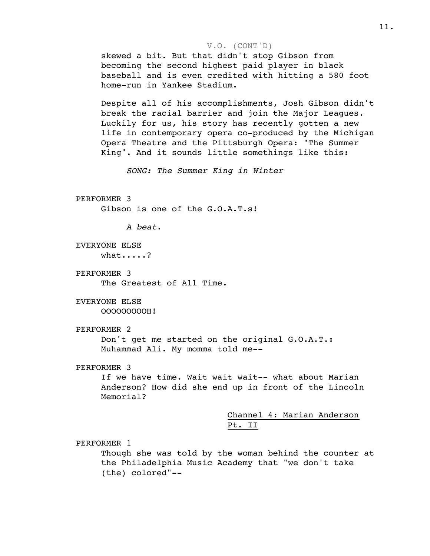### V.O. (CONT'D)

skewed a bit. But that didn't stop Gibson from becoming the second highest paid player in black baseball and is even credited with hitting a 580 foot home-run in Yankee Stadium.

Despite all of his accomplishments, Josh Gibson didn't break the racial barrier and join the Major Leagues. Luckily for us, his story has recently gotten a new life in contemporary opera co-produced by the Michigan Opera Theatre and the Pittsburgh Opera: "The Summer King". And it sounds little somethings like this:

*SONG: The Summer King in Winter*

PERFORMER 3

Gibson is one of the G.O.A.T.s!

*A beat.*

EVERYONE ELSE what.....?

PERFORMER 3 The Greatest of All Time.

EVERYONE ELSE OOOOOOOOOH!

PERFORMER 2

Don't get me started on the original G.O.A.T.: Muhammad Ali. My momma told me--

PERFORMER 3

If we have time. Wait wait wait-- what about Marian Anderson? How did she end up in front of the Lincoln Memorial?

> Channel 4: Marian Anderson Pt. II

PERFORMER 1

Though she was told by the woman behind the counter at the Philadelphia Music Academy that "we don't take (the) colored"--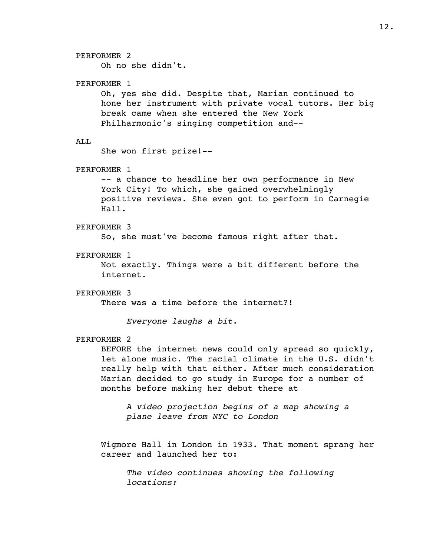## PERFORMER 2

Oh no she didn't.

## PERFORMER 1

Oh, yes she did. Despite that, Marian continued to hone her instrument with private vocal tutors. Her big break came when she entered the New York Philharmonic's singing competition and--

### AT.T.

She won first prize!--

## PERFORMER 1

-- a chance to headline her own performance in New York City! To which, she gained overwhelmingly positive reviews. She even got to perform in Carnegie Hall.

### PERFORMER 3

So, she must've become famous right after that.

## PERFORMER 1

Not exactly. Things were a bit different before the internet.

### PERFORMER 3

There was a time before the internet?!

*Everyone laughs a bit.*

### PERFORMER 2

BEFORE the internet news could only spread so quickly, let alone music. The racial climate in the U.S. didn't really help with that either. After much consideration Marian decided to go study in Europe for a number of months before making her debut there at

*A video projection begins of a map showing a plane leave from NYC to London*

Wigmore Hall in London in 1933. That moment sprang her career and launched her to:

*The video continues showing the following locations:*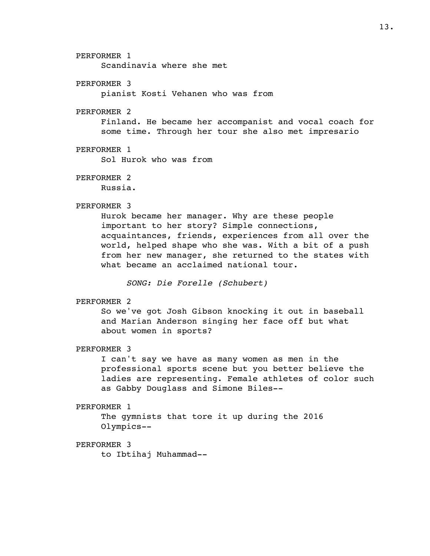### PERFORMER 1

Scandinavia where she met

## PERFORMER 3

pianist Kosti Vehanen who was from

## PERFORMER 2

Finland. He became her accompanist and vocal coach for some time. Through her tour she also met impresario

## PERFORMER 1

Sol Hurok who was from

# PERFORMER 2

Russia.

### PERFORMER 3

Hurok became her manager. Why are these people important to her story? Simple connections, acquaintances, friends, experiences from all over the world, helped shape who she was. With a bit of a push from her new manager, she returned to the states with what became an acclaimed national tour.

*SONG: Die Forelle (Schubert)*

# PERFORMER 2

So we've got Josh Gibson knocking it out in baseball and Marian Anderson singing her face off but what about women in sports?

### PERFORMER 3

I can't say we have as many women as men in the professional sports scene but you better believe the ladies are representing. Female athletes of color such as Gabby Douglass and Simone Biles--

# PERFORMER 1

The gymnists that tore it up during the 2016 Olympics--

## PERFORMER 3

to Ibtihaj Muhammad--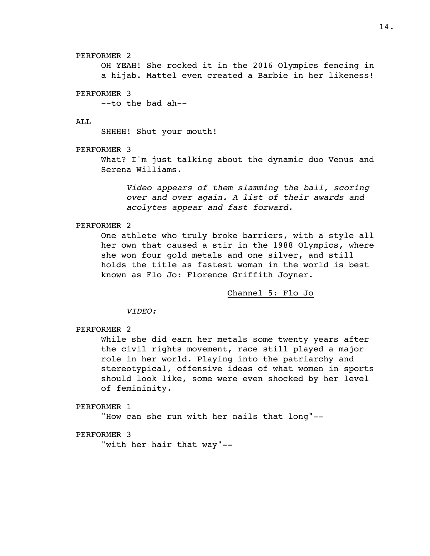14.

PERFORMER 2 OH YEAH! She rocked it in the 2016 Olympics fencing in a hijab. Mattel even created a Barbie in her likeness!

PERFORMER 3

--to the bad ah--

## ALL

SHHHH! Shut your mouth!

PERFORMER 3

What? I'm just talking about the dynamic duo Venus and Serena Williams.

*Video appears of them slamming the ball, scoring over and over again. A list of their awards and acolytes appear and fast forward.*

PERFORMER 2

One athlete who truly broke barriers, with a style all her own that caused a stir in the 1988 Olympics, where she won four gold metals and one silver, and still holds the title as fastest woman in the world is best known as Flo Jo: Florence Griffith Joyner.

Channel 5: Flo Jo

*VIDEO:*

# PERFORMER 2

While she did earn her metals some twenty years after the civil rights movement, race still played a major role in her world. Playing into the patriarchy and stereotypical, offensive ideas of what women in sports should look like, some were even shocked by her level of femininity.

PERFORMER 1

"How can she run with her nails that long"--

## PERFORMER 3

"with her hair that way"--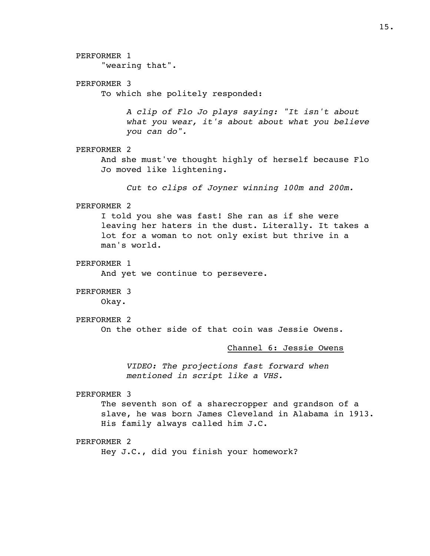# PERFORMER 1 "wearing that". PERFORMER 3 To which she politely responded: *A clip of Flo Jo plays saying: "It isn't about what you wear, it's about about what you believe you can do".* PERFORMER 2 And she must've thought highly of herself because Flo Jo moved like lightening. *Cut to clips of Joyner winning 100m and 200m.* PERFORMER 2 I told you she was fast! She ran as if she were leaving her haters in the dust. Literally. It takes a lot for a woman to not only exist but thrive in a man's world. PERFORMER 1 And yet we continue to persevere. PERFORMER 3 Okay. PERFORMER 2 On the other side of that coin was Jessie Owens. Channel 6: Jessie Owens *VIDEO: The projections fast forward when mentioned in script like a VHS.* PERFORMER 3 The seventh son of a sharecropper and grandson of a slave, he was born James Cleveland in Alabama in 1913. His family always called him J.C. PERFORMER 2 Hey J.C., did you finish your homework?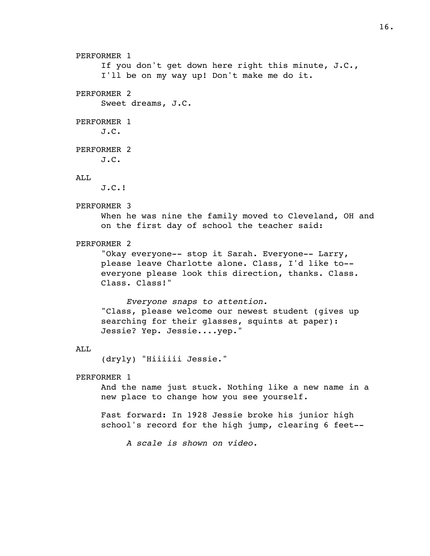```
PERFORMER 1
     If you don't get down here right this minute, J.C., 
     I'll be on my way up! Don't make me do it.
PERFORMER 2
     Sweet dreams, J.C.
PERFORMER 1
     J.C.
PERFORMER 2
     J.C.
ALL
     J.C.!
PERFORMER 3
     When he was nine the family moved to Cleveland, OH and
     on the first day of school the teacher said:
PERFORMER 2
     "Okay everyone-- stop it Sarah. Everyone-- Larry, 
     please leave Charlotte alone. Class, I'd like to-- 
     everyone please look this direction, thanks. Class. 
     Class. Class!"
          Everyone snaps to attention.
     "Class, please welcome our newest student (gives up 
     searching for their glasses, squints at paper): 
     Jessie? Yep. Jessie....yep."
ALL
     (dryly) "Hiiiiii Jessie."
PERFORMER 1
     And the name just stuck. Nothing like a new name in a 
     new place to change how you see yourself.
     Fast forward: In 1928 Jessie broke his junior high 
     school's record for the high jump, clearing 6 feet--
          A scale is shown on video.
```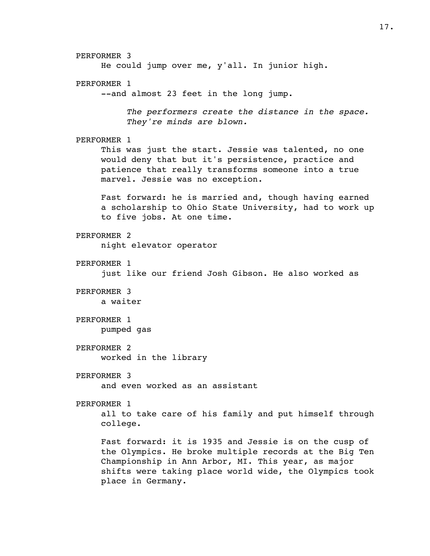PERFORMER 3 He could jump over me, y'all. In junior high. PERFORMER 1 --and almost 23 feet in the long jump. *The performers create the distance in the space. They're minds are blown.* PERFORMER 1 This was just the start. Jessie was talented, no one would deny that but it's persistence, practice and patience that really transforms someone into a true marvel. Jessie was no exception. Fast forward: he is married and, though having earned a scholarship to Ohio State University, had to work up to five jobs. At one time. PERFORMER 2 night elevator operator PERFORMER 1 just like our friend Josh Gibson. He also worked as PERFORMER 3 a waiter PERFORMER 1 pumped gas PERFORMER 2 worked in the library PERFORMER 3 and even worked as an assistant PERFORMER 1 all to take care of his family and put himself through college. Fast forward: it is 1935 and Jessie is on the cusp of the Olympics. He broke multiple records at the Big Ten Championship in Ann Arbor, MI. This year, as major shifts were taking place world wide, the Olympics took place in Germany.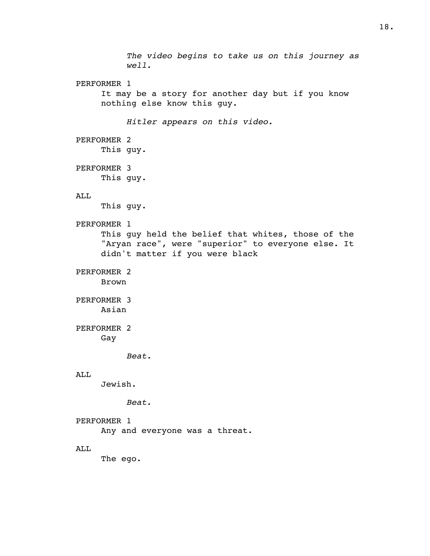*The video begins to take us on this journey as well.* PERFORMER 1 It may be a story for another day but if you know nothing else know this guy. *Hitler appears on this video.* PERFORMER 2 This guy. PERFORMER 3 This guy. ALL This guy. PERFORMER 1 This guy held the belief that whites, those of the "Aryan race", were "superior" to everyone else. It didn't matter if you were black PERFORMER 2 Brown PERFORMER 3 Asian PERFORMER 2 Gay *Beat.* ALL Jewish. *Beat.* PERFORMER 1 Any and everyone was a threat. ALL The ego.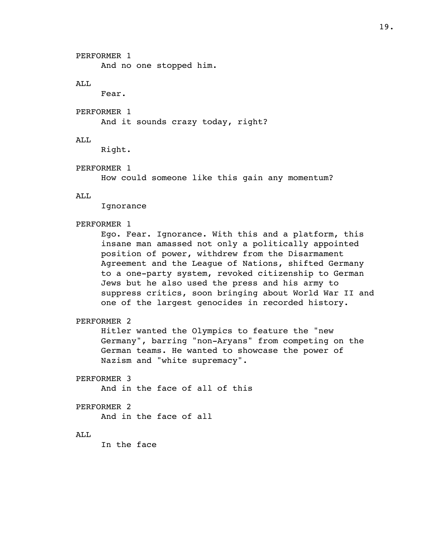PERFORMER 1

And no one stopped him.

# ALL

Fear.

PERFORMER 1

And it sounds crazy today, right?

# ALL

Right.

# PERFORMER 1

How could someone like this gain any momentum?

ALL

Ignorance

# PERFORMER 1

Ego. Fear. Ignorance. With this and a platform, this insane man amassed not only a politically appointed position of power, withdrew from the Disarmament Agreement and the League of Nations, shifted Germany to a one-party system, revoked citizenship to German Jews but he also used the press and his army to suppress critics, soon bringing about World War II and one of the largest genocides in recorded history.

# PERFORMER 2

Hitler wanted the Olympics to feature the "new Germany", barring "non-Aryans" from competing on the German teams. He wanted to showcase the power of Nazism and "white supremacy".

# PERFORMER 3

And in the face of all of this

# PERFORMER 2

And in the face of all

# ALL

In the face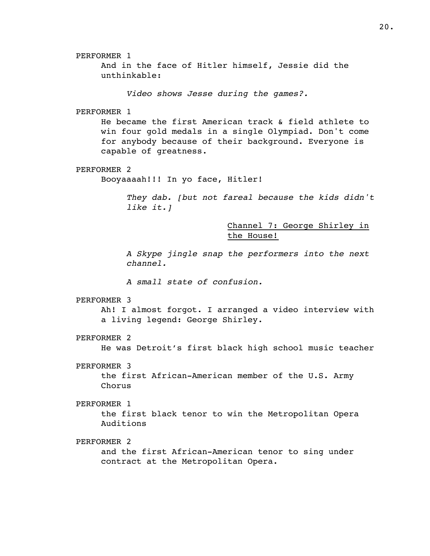PERFORMER 1 And in the face of Hitler himself, Jessie did the unthinkable: *Video shows Jesse during the games?.* PERFORMER 1 He became the first American track & field athlete to win four gold medals in a single Olympiad. Don't come for anybody because of their background. Everyone is capable of greatness. PERFORMER 2 Booyaaaah!!! In yo face, Hitler! *They dab. [but not fareal because the kids didn't like it.]*

> Channel 7: George Shirley in the House!

*A Skype jingle snap the performers into the next channel.*

*A small state of confusion.*

PERFORMER 3

Ah! I almost forgot. I arranged a video interview with a living legend: George Shirley.

PERFORMER 2

He was Detroit's first black high school music teacher

PERFORMER 3

the first African-American member of the U.S. Army Chorus

PERFORMER 1

the first black tenor to win the Metropolitan Opera Auditions

PERFORMER 2

and the first African-American tenor to sing under contract at the Metropolitan Opera.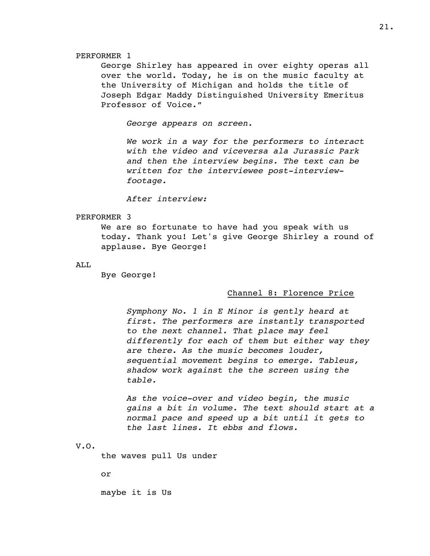### PERFORMER 1

George Shirley has appeared in over eighty operas all over the world. Today, he is on the music faculty at the University of Michigan and holds the title of Joseph Edgar Maddy Distinguished University Emeritus Professor of Voice."

*George appears on screen.*

*We work in a way for the performers to interact with the video and viceversa ala Jurassic Park and then the interview begins. The text can be written for the interviewee post-interviewfootage.*

*After interview:*

### PERFORMER 3

We are so fortunate to have had you speak with us today. Thank you! Let's give George Shirley a round of applause. Bye George!

ALL

Bye George!

### Channel 8: Florence Price

*Symphony No. 1 in E Minor is gently heard at first. The performers are instantly transported to the next channel. That place may feel differently for each of them but either way they are there. As the music becomes louder, sequential movement begins to emerge. Tableus, shadow work against the the screen using the table.*

*As the voice-over and video begin, the music gains a bit in volume. The text should start at a normal pace and speed up a bit until it gets to the last lines. It ebbs and flows.*

### V.O.

the waves pull Us under

or

maybe it is Us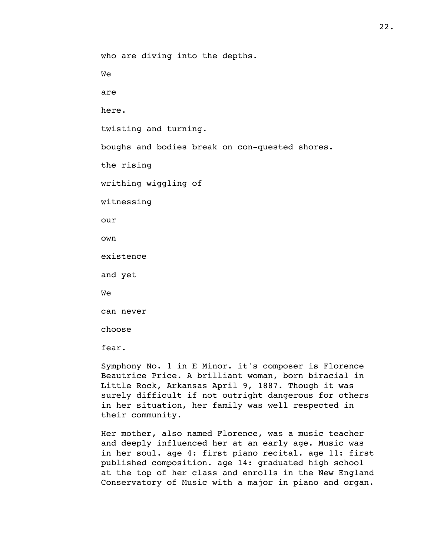who are diving into the depths.

We

are

here.

twisting and turning.

boughs and bodies break on con-quested shores.

the rising

writhing wiggling of

witnessing

our

own

existence

and yet

We

can never

choose

fear.

Symphony No. 1 in E Minor. it's composer is Florence Beautrice Price. A brilliant woman, born biracial in Little Rock, Arkansas April 9, 1887. Though it was surely difficult if not outright dangerous for others in her situation, her family was well respected in their community.

Her mother, also named Florence, was a music teacher and deeply influenced her at an early age. Music was in her soul. age 4: first piano recital. age 11: first published composition. age 14: graduated high school at the top of her class and enrolls in the New England Conservatory of Music with a major in piano and organ.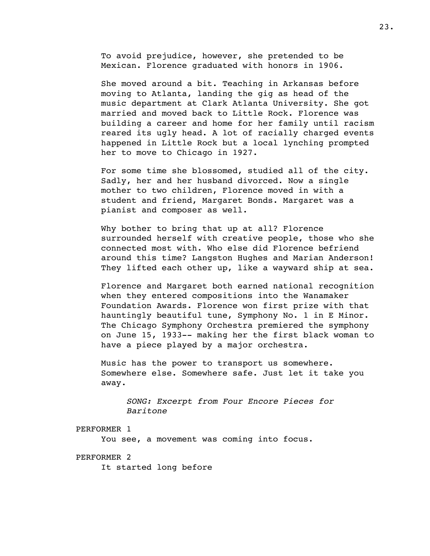To avoid prejudice, however, she pretended to be Mexican. Florence graduated with honors in 1906.

She moved around a bit. Teaching in Arkansas before moving to Atlanta, landing the gig as head of the music department at Clark Atlanta University. She got married and moved back to Little Rock. Florence was building a career and home for her family until racism reared its ugly head. A lot of racially charged events happened in Little Rock but a local lynching prompted her to move to Chicago in 1927.

For some time she blossomed, studied all of the city. Sadly, her and her husband divorced. Now a single mother to two children, Florence moved in with a student and friend, Margaret Bonds. Margaret was a pianist and composer as well.

Why bother to bring that up at all? Florence surrounded herself with creative people, those who she connected most with. Who else did Florence befriend around this time? Langston Hughes and Marian Anderson! They lifted each other up, like a wayward ship at sea.

Florence and Margaret both earned national recognition when they entered compositions into the Wanamaker Foundation Awards. Florence won first prize with that hauntingly beautiful tune, Symphony No. 1 in E Minor. The Chicago Symphony Orchestra premiered the symphony on June 15, 1933-- making her the first black woman to have a piece played by a major orchestra.

Music has the power to transport us somewhere. Somewhere else. Somewhere safe. Just let it take you away.

*SONG: Excerpt from Four Encore Pieces for Baritone*

### PERFORMER 1

You see, a movement was coming into focus.

# PERFORMER 2

It started long before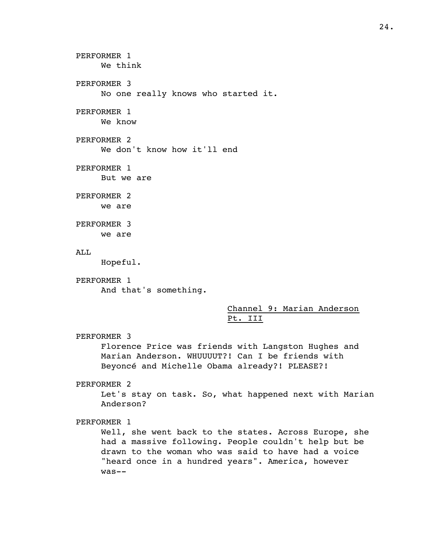```
PERFORMER 1
     We think
PERFORMER 3
     No one really knows who started it.
PERFORMER 1
     We know
PERFORMER 2
     We don't know how it'll end
PERFORMER 1
     But we are
PERFORMER 2
     we are
PERFORMER 3
     we are
ALL
     Hopeful.
PERFORMER 1
     And that's something.
                               Channel 9: Marian Anderson 
                               Pt. III
PERFORMER 3
     Florence Price was friends with Langston Hughes and 
     Marian Anderson. WHUUUUT?! Can I be friends with 
     Beyoncé and Michelle Obama already?! PLEASE?!
PERFORMER 2
     Let's stay on task. So, what happened next with Marian
```
Anderson?

PERFORMER 1

Well, she went back to the states. Across Europe, she had a massive following. People couldn't help but be drawn to the woman who was said to have had a voice "heard once in a hundred years". America, however was--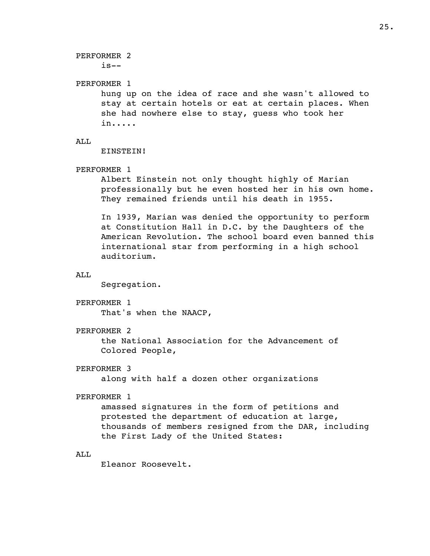PERFORMER 2  $is--$ PERFORMER 1 hung up on the idea of race and she wasn't allowed to stay at certain hotels or eat at certain places. When she had nowhere else to stay, guess who took her in..... AT.T. EINSTEIN! PERFORMER 1 Albert Einstein not only thought highly of Marian professionally but he even hosted her in his own home. They remained friends until his death in 1955. In 1939, Marian was denied the opportunity to perform at Constitution Hall in D.C. by the Daughters of the American Revolution. The school board even banned this international star from performing in a high school auditorium. ALL Segregation. PERFORMER 1 That's when the NAACP, PERFORMER 2 the National Association for the Advancement of Colored People, PERFORMER 3 along with half a dozen other organizations PERFORMER 1 amassed signatures in the form of petitions and protested the department of education at large, thousands of members resigned from the DAR, including the First Lady of the United States: ALL Eleanor Roosevelt.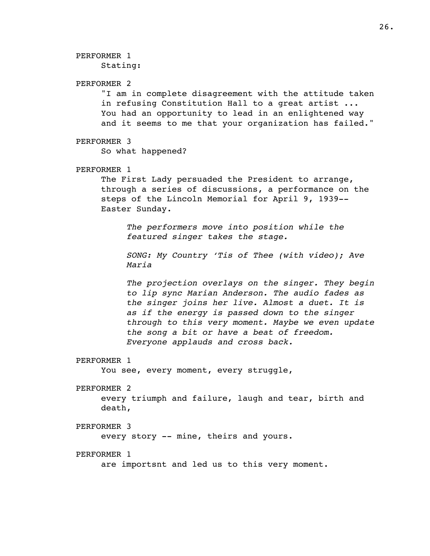PERFORMER 1

Stating:

# PERFORMER 2

"I am in complete disagreement with the attitude taken in refusing Constitution Hall to a great artist ... You had an opportunity to lead in an enlightened way and it seems to me that your organization has failed."

## PERFORMER 3

So what happened?

## PERFORMER 1

The First Lady persuaded the President to arrange, through a series of discussions, a performance on the steps of the Lincoln Memorial for April 9, 1939-- Easter Sunday.

*The performers move into position while the featured singer takes the stage.*

*SONG: My Country 'Tis of Thee (with video); Ave Maria*

*The projection overlays on the singer. They begin to lip sync Marian Anderson. The audio fades as the singer joins her live. Almost a duet. It is as if the energy is passed down to the singer through to this very moment. Maybe we even update the song a bit or have a beat of freedom. Everyone applauds and cross back.*

### PERFORMER 1

You see, every moment, every struggle,

### PERFORMER 2

every triumph and failure, laugh and tear, birth and death,

### PERFORMER 3

every story -- mine, theirs and yours.

### PERFORMER 1

are importsnt and led us to this very moment.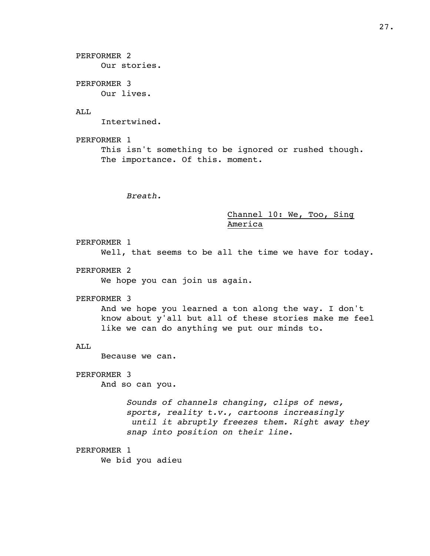PERFORMER 2 Our stories.

PERFORMER 3 Our lives.

# AT.T.

Intertwined.

PERFORMER 1 This isn't something to be ignored or rushed though. The importance. Of this. moment.

*Breath.*

# Channel 10: We, Too, Sing America

PERFORMER 1 Well, that seems to be all the time we have for today.

PERFORMER 2

We hope you can join us again.

#### PERFORMER 3

And we hope you learned a ton along the way. I don't know about y'all but all of these stories make me feel like we can do anything we put our minds to.

### ALL

Because we can.

# PERFORMER 3

And so can you.

*Sounds of channels changing, clips of news, sports, reality t.v., cartoons increasingly until it abruptly freezes them. Right away they snap into position on their line.*

## PERFORMER 1

We bid you adieu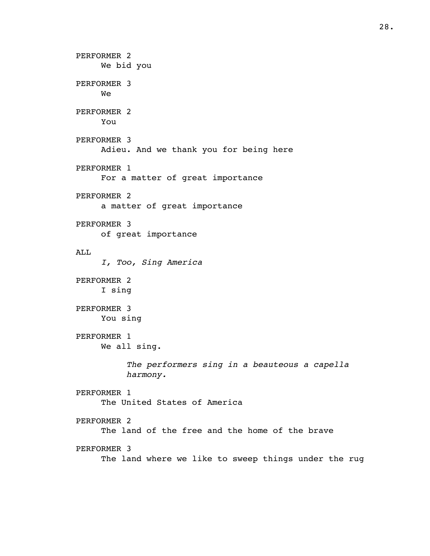PERFORMER 2 We bid you PERFORMER 3 We PERFORMER 2 You PERFORMER 3 Adieu. And we thank you for being here PERFORMER 1 For a matter of great importance PERFORMER 2 a matter of great importance PERFORMER 3 of great importance ALL *I, Too, Sing America* PERFORMER 2 I sing PERFORMER 3 You sing PERFORMER 1 We all sing. *The performers sing in a beauteous a capella harmony.* PERFORMER 1 The United States of America PERFORMER 2 The land of the free and the home of the brave PERFORMER 3 The land where we like to sweep things under the rug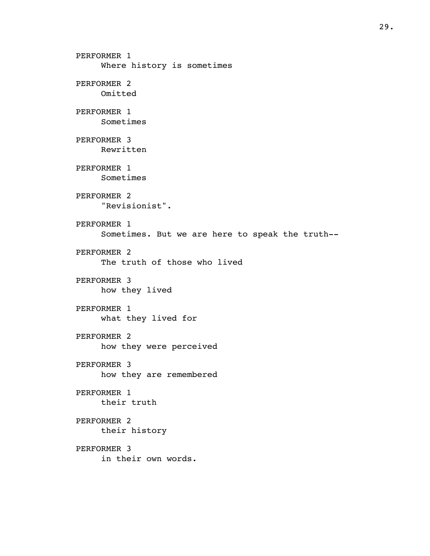PERFORMER 1 Where history is sometimes PERFORMER 2 Omitted PERFORMER 1 Sometimes PERFORMER 3 Rewritten PERFORMER 1 Sometimes PERFORMER 2 "Revisionist". PERFORMER 1 Sometimes. But we are here to speak the truth-- PERFORMER 2 The truth of those who lived PERFORMER 3 how they lived PERFORMER 1 what they lived for PERFORMER 2 how they were perceived PERFORMER 3 how they are remembered PERFORMER 1 their truth PERFORMER 2 their history PERFORMER 3 in their own words.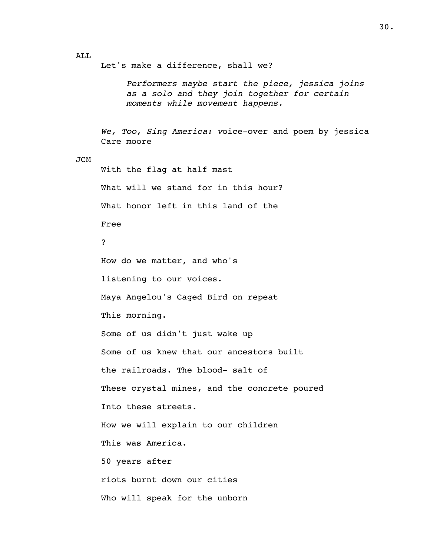ALL

Let's make a difference, shall we?

*Performers maybe start the piece, jessica joins as a solo and they join together for certain moments while movement happens.*

*We, Too, Sing America: v*oice-over and poem by jessica Care moore

### JCM

With the flag at half mast What will we stand for in this hour? What honor left in this land of the Free ? How do we matter, and who's listening to our voices. Maya Angelou's Caged Bird on repeat This morning. Some of us didn't just wake up Some of us knew that our ancestors built the railroads. The blood- salt of These crystal mines, and the concrete poured Into these streets. How we will explain to our children This was America. 50 years after riots burnt down our cities Who will speak for the unborn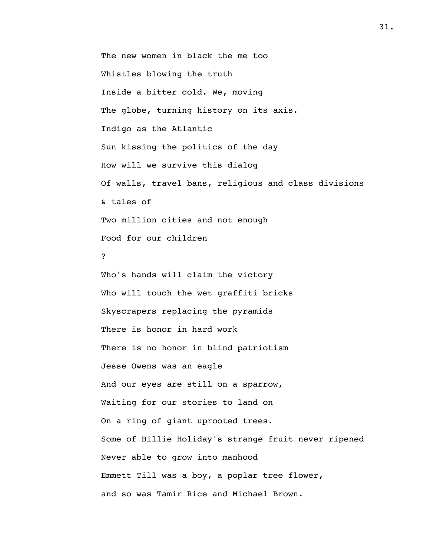The new women in black the me too Whistles blowing the truth Inside a bitter cold. We, moving The globe, turning history on its axis. Indigo as the Atlantic Sun kissing the politics of the day How will we survive this dialog Of walls, travel bans, religious and class divisions & tales of Two million cities and not enough Food for our children ? Who's hands will claim the victory

Who will touch the wet graffiti bricks Skyscrapers replacing the pyramids There is honor in hard work There is no honor in blind patriotism Jesse Owens was an eagle And our eyes are still on a sparrow, Waiting for our stories to land on On a ring of giant uprooted trees. Some of Billie Holiday's strange fruit never ripened Never able to grow into manhood Emmett Till was a boy, a poplar tree flower, and so was Tamir Rice and Michael Brown.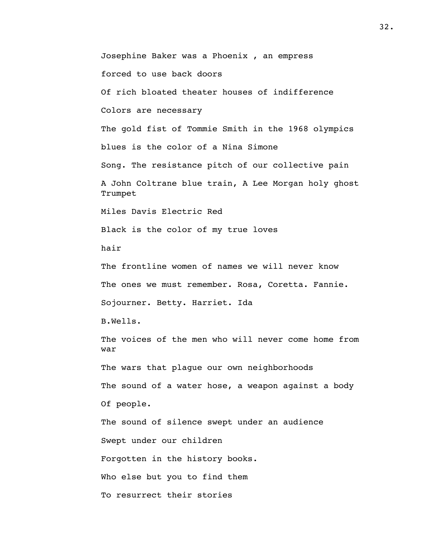Josephine Baker was a Phoenix , an empress forced to use back doors Of rich bloated theater houses of indifference Colors are necessary The gold fist of Tommie Smith in the 1968 olympics blues is the color of a Nina Simone Song. The resistance pitch of our collective pain A John Coltrane blue train, A Lee Morgan holy ghost Trumpet Miles Davis Electric Red Black is the color of my true loves hair The frontline women of names we will never know The ones we must remember. Rosa, Coretta. Fannie. Sojourner. Betty. Harriet. Ida B.Wells. The voices of the men who will never come home from war The wars that plague our own neighborhoods The sound of a water hose, a weapon against a body Of people. The sound of silence swept under an audience Swept under our children Forgotten in the history books. Who else but you to find them To resurrect their stories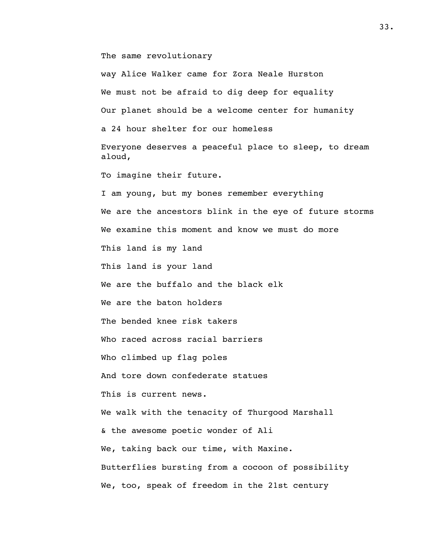The same revolutionary

way Alice Walker came for Zora Neale Hurston We must not be afraid to dig deep for equality Our planet should be a welcome center for humanity a 24 hour shelter for our homeless Everyone deserves a peaceful place to sleep, to dream aloud, To imagine their future. I am young, but my bones remember everything We are the ancestors blink in the eye of future storms We examine this moment and know we must do more This land is my land This land is your land We are the buffalo and the black elk We are the baton holders The bended knee risk takers Who raced across racial barriers Who climbed up flag poles And tore down confederate statues This is current news. We walk with the tenacity of Thurgood Marshall & the awesome poetic wonder of Ali We, taking back our time, with Maxine. Butterflies bursting from a cocoon of possibility We, too, speak of freedom in the 21st century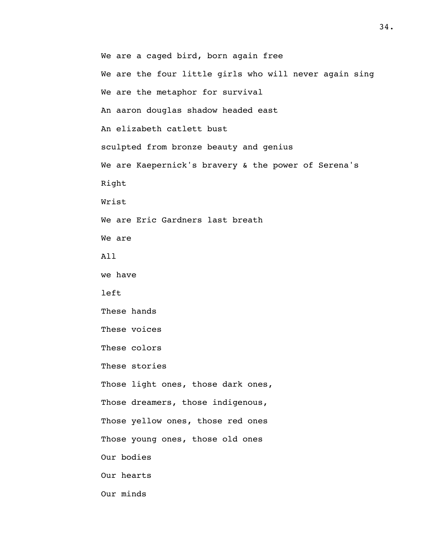We are a caged bird, born again free We are the four little girls who will never again sing We are the metaphor for survival An aaron douglas shadow headed east An elizabeth catlett bust sculpted from bronze beauty and genius We are Kaepernick's bravery & the power of Serena's Right Wrist We are Eric Gardners last breath We are All we have left These hands These voices These colors These stories Those light ones, those dark ones, Those dreamers, those indigenous, Those yellow ones, those red ones Those young ones, those old ones Our bodies Our hearts Our minds